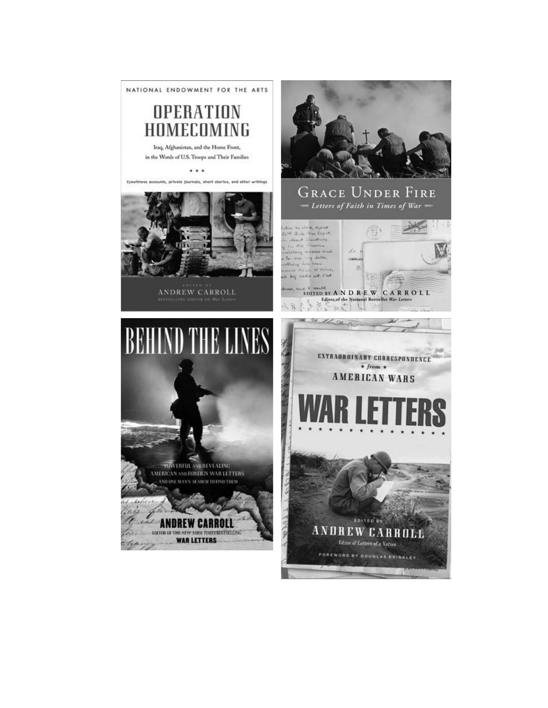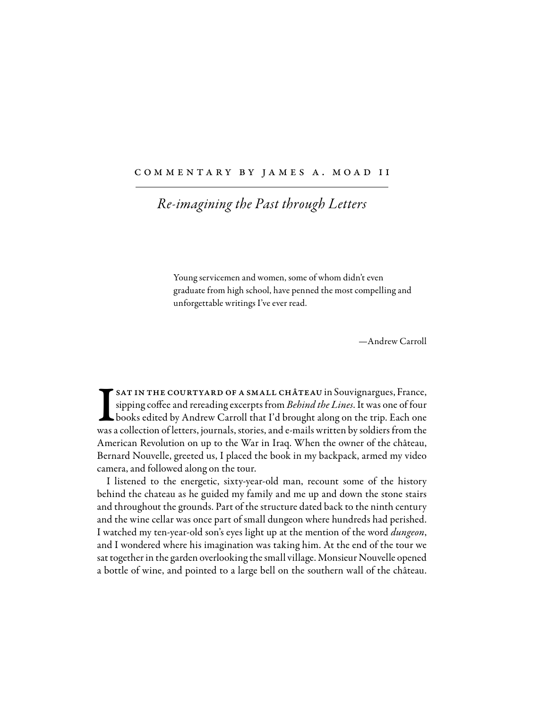## COMMENTARY BY JAMES A. MOAD II

## *Re-imagining the Past through Letters*

Young servicemen and women, some of whom didn't even graduate from high school, have penned the most compelling and unforgettable writings I've ever read.

—Andrew Carroll

 $\prod_{\text{was a}}$ SAT IN THE COURTYARD OF A SMALL CHÂTEAU in Souvignargues, France, sipping cofee and rereading excerpts from *Behind the Lines*. It was one of four books edited by Andrew Carroll that I'd brought along on the trip. Each one was a collection of letters, journals, stories, and e-mails written by soldiers from the American Revolution on up to the War in Iraq. When the owner of the château, Bernard Nouvelle, greeted us, I placed the book in my backpack, armed my video camera, and followed along on the tour.

I listened to the energetic, sixty-year-old man, recount some of the history behind the chateau as he guided my family and me up and down the stone stairs and throughout the grounds. Part of the structure dated back to the ninth century and the wine cellar was once part of small dungeon where hundreds had perished. I watched my ten-year-old son's eyes light up at the mention of the word *dungeon*, and I wondered where his imagination was taking him. At the end of the tour we sat together in the garden overlooking the small village. Monsieur Nouvelle opened a bottle of wine, and pointed to a large bell on the southern wall of the château.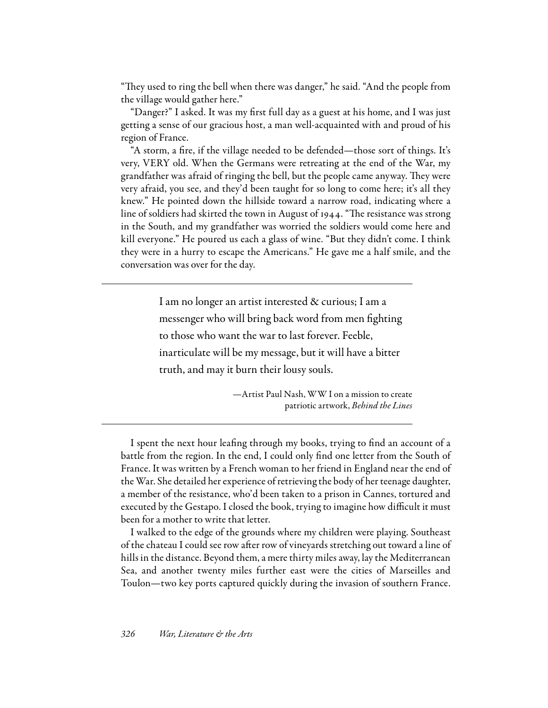"They used to ring the bell when there was danger," he said. "And the people from the village would gather here."

"Danger?" I asked. It was my frst full day as a guest at his home, and I was just getting a sense of our gracious host, a man well-acquainted with and proud of his region of France.

"A storm, a fre, if the village needed to be defended—those sort of things. It's very, VERY old. When the Germans were retreating at the end of the War, my grandfather was afraid of ringing the bell, but the people came anyway. They were very afraid, you see, and they'd been taught for so long to come here; it's all they knew." He pointed down the hillside toward a narrow road, indicating where a line of soldiers had skirted the town in August of 1944. "The resistance was strong in the South, and my grandfather was worried the soldiers would come here and kill everyone." He poured us each a glass of wine. "But they didn't come. I think they were in a hurry to escape the Americans." He gave me a half smile, and the conversation was over for the day.

> I am no longer an artist interested & curious; I am a messenger who will bring back word from men fghting to those who want the war to last forever. Feeble, inarticulate will be my message, but it will have a bitter truth, and may it burn their lousy souls.

> > —Artist Paul Nash, WW I on a mission to create patriotic artwork, *Behind the Lines*

I spent the next hour leafng through my books, trying to fnd an account of a battle from the region. In the end, I could only fnd one letter from the South of France. It was written by a French woman to her friend in England near the end of the War. She detailed her experience of retrieving the body of her teenage daughter, a member of the resistance, who'd been taken to a prison in Cannes, tortured and executed by the Gestapo. I closed the book, trying to imagine how difficult it must been for a mother to write that letter.

I walked to the edge of the grounds where my children were playing. Southeast of the chateau I could see row afer row of vineyards stretching out toward a line of hills in the distance. Beyond them, a mere thirty miles away, lay the Mediterranean Sea, and another twenty miles further east were the cities of Marseilles and Toulon—two key ports captured quickly during the invasion of southern France.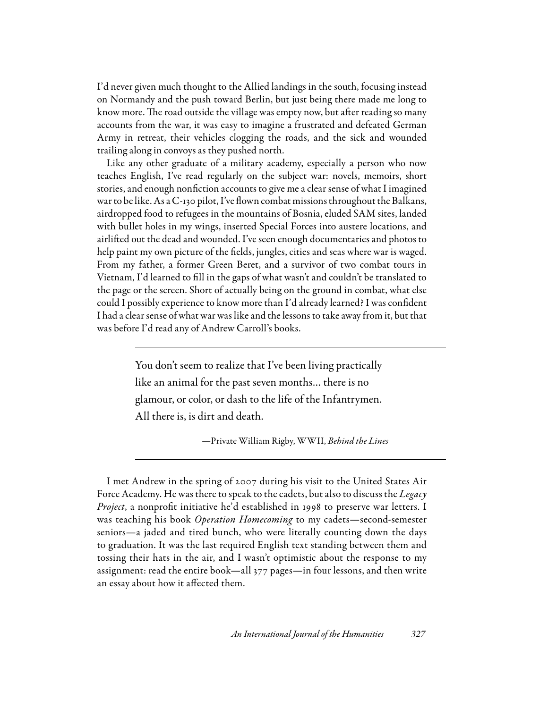I'd never given much thought to the Allied landings in the south, focusing instead on Normandy and the push toward Berlin, but just being there made me long to know more. The road outside the village was empty now, but after reading so many accounts from the war, it was easy to imagine a frustrated and defeated German Army in retreat, their vehicles clogging the roads, and the sick and wounded trailing along in convoys as they pushed north.

Like any other graduate of a military academy, especially a person who now teaches English, I've read regularly on the subject war: novels, memoirs, short stories, and enough nonfction accounts to give me a clear sense of what I imagined war to be like. As a C-130 pilot, I've flown combat missions throughout the Balkans, airdropped food to refugees in the mountains of Bosnia, eluded SAM sites, landed with bullet holes in my wings, inserted Special Forces into austere locations, and airlifed out the dead and wounded. I've seen enough documentaries and photos to help paint my own picture of the felds, jungles, cities and seas where war is waged. From my father, a former Green Beret, and a survivor of two combat tours in Vietnam, I'd learned to fll in the gaps of what wasn't and couldn't be translated to the page or the screen. Short of actually being on the ground in combat, what else could I possibly experience to know more than I'd already learned? I was confdent I had a clear sense of what war was like and the lessons to take away from it, but that was before I'd read any of Andrew Carroll's books.

> You don't seem to realize that I've been living practically like an animal for the past seven months… there is no glamour, or color, or dash to the life of the Infantrymen. All there is, is dirt and death.

> > —Private William Rigby, WWII, *Behind the Lines*

I met Andrew in the spring of 2007 during his visit to the United States Air Force Academy. He was there to speak to the cadets, but also to discuss the *Legacy Project*, a nonproft initiative he'd established in 1998 to preserve war letters. I was teaching his book *Operation Homecoming* to my cadets—second-semester seniors—a jaded and tired bunch, who were literally counting down the days to graduation. It was the last required English text standing between them and tossing their hats in the air, and I wasn't optimistic about the response to my assignment: read the entire book—all 377 pages—in four lessons, and then write an essay about how it afected them.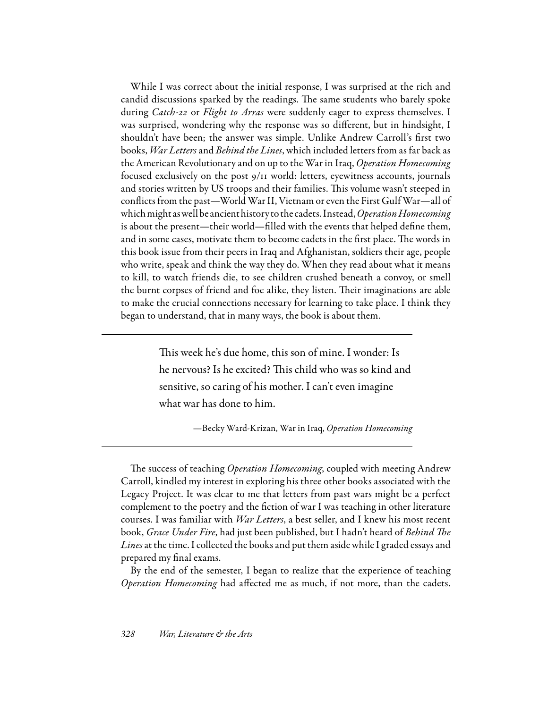While I was correct about the initial response, I was surprised at the rich and candid discussions sparked by the readings. The same students who barely spoke during *Catch-*22 or *Flight to Arras* were suddenly eager to express themselves. I was surprised, wondering why the response was so diferent, but in hindsight, I shouldn't have been; the answer was simple. Unlike Andrew Carroll's frst two books, *War Letters* and *Behind the Lines*, which included letters from as far back as the American Revolutionary and on up to the War in Iraq, *Operation Homecoming* focused exclusively on the post 9/11 world: letters, eyewitness accounts, journals and stories written by US troops and their families. This volume wasn't steeped in conficts from the past—World War II, Vietnam or even the First Gulf War—all of which might as well be ancient history to the cadets. Instead, *OperationHomecoming* is about the present—their world—flled with the events that helped defne them, and in some cases, motivate them to become cadets in the first place. The words in this book issue from their peers in Iraq and Afghanistan, soldiers their age, people who write, speak and think the way they do. When they read about what it means to kill, to watch friends die, to see children crushed beneath a convoy, or smell the burnt corpses of friend and foe alike, they listen. Their imaginations are able to make the crucial connections necessary for learning to take place. I think they began to understand, that in many ways, the book is about them.

> This week he's due home, this son of mine. I wonder: Is he nervous? Is he excited? This child who was so kind and sensitive, so caring of his mother. I can't even imagine what war has done to him.

> > —Becky Ward-Krizan, War in Iraq, *Operation Homecoming*

The success of teaching *Operation Homecoming*, coupled with meeting Andrew Carroll, kindled my interest in exploring his three other books associated with the Legacy Project. It was clear to me that letters from past wars might be a perfect complement to the poetry and the fction of war I was teaching in other literature courses. I was familiar with *War Letters*, a best seller, and I knew his most recent book, *Grace Under Fire*, had just been published, but I hadn't heard of *Behind* T*e Lines* at the time. I collected the books and put them aside while I graded essays and prepared my fnal exams.

By the end of the semester, I began to realize that the experience of teaching *Operation Homecoming* had afected me as much, if not more, than the cadets.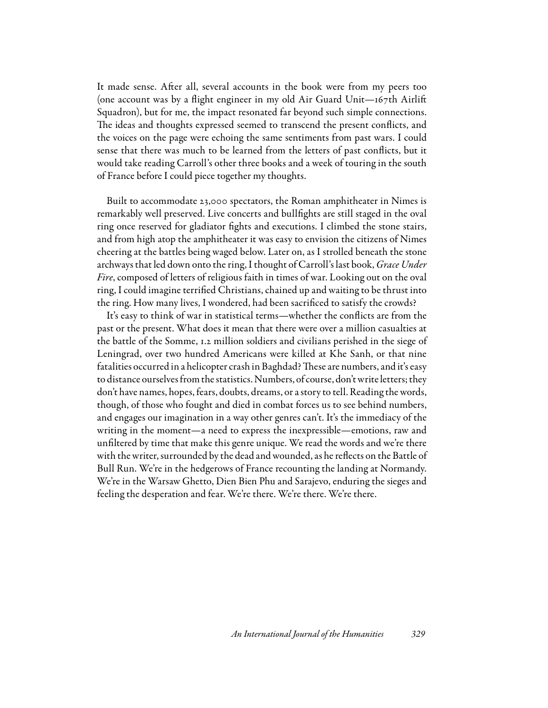It made sense. Afer all, several accounts in the book were from my peers too (one account was by a fight engineer in my old Air Guard Unit—167th Airlif Squadron), but for me, the impact resonated far beyond such simple connections. The ideas and thoughts expressed seemed to transcend the present conflicts, and the voices on the page were echoing the same sentiments from past wars. I could sense that there was much to be learned from the letters of past conficts, but it would take reading Carroll's other three books and a week of touring in the south of France before I could piece together my thoughts.

Built to accommodate 23,000 spectators, the Roman amphitheater in Nimes is remarkably well preserved. Live concerts and bullfghts are still staged in the oval ring once reserved for gladiator fghts and executions. I climbed the stone stairs, and from high atop the amphitheater it was easy to envision the citizens of Nimes cheering at the battles being waged below. Later on, as I strolled beneath the stone archways that led down onto the ring, I thought of Carroll's last book, *Grace Under Fire*, composed of letters of religious faith in times of war. Looking out on the oval ring, I could imagine terrifed Christians, chained up and waiting to be thrust into the ring. How many lives, I wondered, had been sacrifced to satisfy the crowds?

It's easy to think of war in statistical terms—whether the conficts are from the past or the present. What does it mean that there were over a million casualties at the battle of the Somme, 1.2 million soldiers and civilians perished in the siege of Leningrad, over two hundred Americans were killed at Khe Sanh, or that nine fatalities occurred in a helicopter crash in Baghdad? These are numbers, and it's easy to distance ourselves from the statistics. Numbers, of course, don't write letters; they don't have names, hopes, fears, doubts, dreams, or a story to tell. Reading the words, though, of those who fought and died in combat forces us to see behind numbers, and engages our imagination in a way other genres can't. It's the immediacy of the writing in the moment—a need to express the inexpressible—emotions, raw and unfltered by time that make this genre unique. We read the words and we're there with the writer, surrounded by the dead and wounded, as he refects on the Battle of Bull Run. We're in the hedgerows of France recounting the landing at Normandy. We're in the Warsaw Ghetto, Dien Bien Phu and Sarajevo, enduring the sieges and feeling the desperation and fear. We're there. We're there. We're there.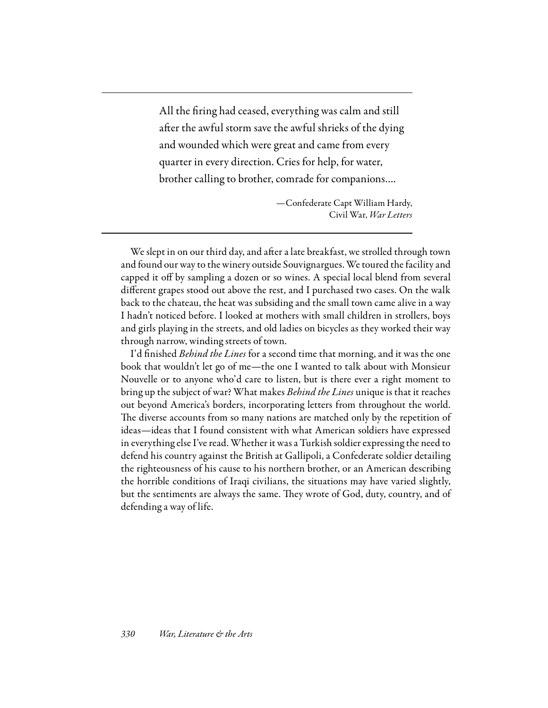All the fring had ceased, everything was calm and still after the awful storm save the awful shrieks of the dying and wounded which were great and came from every quarter in every direction. Cries for help, for water, brother calling to brother, comrade for companions….

> —Confederate Capt William Hardy, Civil War, *War Letters*

We slept in on our third day, and after a late breakfast, we strolled through town and found our way to the winery outside Souvignargues. We toured the facility and capped it off by sampling a dozen or so wines. A special local blend from several diferent grapes stood out above the rest, and I purchased two cases. On the walk back to the chateau, the heat was subsiding and the small town came alive in a way I hadn't noticed before. I looked at mothers with small children in strollers, boys and girls playing in the streets, and old ladies on bicycles as they worked their way through narrow, winding streets of town.

I'd fnished *Behind the Lines* for a second time that morning, and it was the one book that wouldn't let go of me—the one I wanted to talk about with Monsieur Nouvelle or to anyone who'd care to listen, but is there ever a right moment to bring up the subject of war? What makes *Behind the Lines* unique is that it reaches out beyond America's borders, incorporating letters from throughout the world. The diverse accounts from so many nations are matched only by the repetition of ideas—ideas that I found consistent with what American soldiers have expressed in everything else I've read. Whether it was a Turkish soldier expressing the need to defend his country against the British at Gallipoli, a Confederate soldier detailing the righteousness of his cause to his northern brother, or an American describing the horrible conditions of Iraqi civilians, the situations may have varied slightly, but the sentiments are always the same. They wrote of God, duty, country, and of defending a way of life.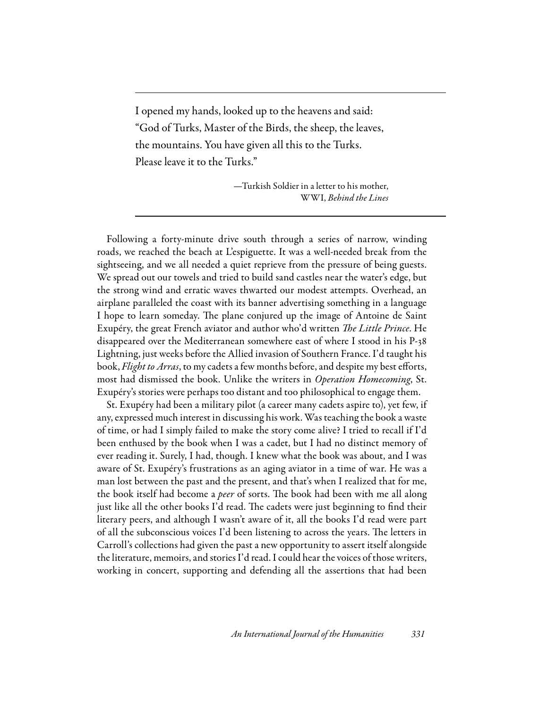I opened my hands, looked up to the heavens and said: "God of Turks, Master of the Birds, the sheep, the leaves, the mountains. You have given all this to the Turks. Please leave it to the Turks."

> —Turkish Soldier in a letter to his mother, WWI, *Behind the Lines*

Following a forty-minute drive south through a series of narrow, winding roads, we reached the beach at L'espiguette. It was a well-needed break from the sightseeing, and we all needed a quiet reprieve from the pressure of being guests. We spread out our towels and tried to build sand castles near the water's edge, but the strong wind and erratic waves thwarted our modest attempts. Overhead, an airplane paralleled the coast with its banner advertising something in a language I hope to learn someday. The plane conjured up the image of Antoine de Saint Exupéry, the great French aviator and author who'd written T*e Little Prince*. He disappeared over the Mediterranean somewhere east of where I stood in his P-38 Lightning, just weeks before the Allied invasion of Southern France. I'd taught his book, *Flight to Arras*, to my cadets a few months before, and despite my best eforts, most had dismissed the book. Unlike the writers in *Operation Homecoming*, St. Exupéry's stories were perhaps too distant and too philosophical to engage them.

St. Exupéry had been a military pilot (a career many cadets aspire to), yet few, if any, expressed much interest in discussing his work. Was teaching the book a waste of time, or had I simply failed to make the story come alive? I tried to recall if I'd been enthused by the book when I was a cadet, but I had no distinct memory of ever reading it. Surely, I had, though. I knew what the book was about, and I was aware of St. Exupéry's frustrations as an aging aviator in a time of war. He was a man lost between the past and the present, and that's when I realized that for me, the book itself had become a *peer* of sorts. The book had been with me all along just like all the other books I'd read. The cadets were just beginning to find their literary peers, and although I wasn't aware of it, all the books I'd read were part of all the subconscious voices I'd been listening to across the years. The letters in Carroll's collections had given the past a new opportunity to assert itself alongside the literature, memoirs, and stories I'd read. I could hear the voices of those writers, working in concert, supporting and defending all the assertions that had been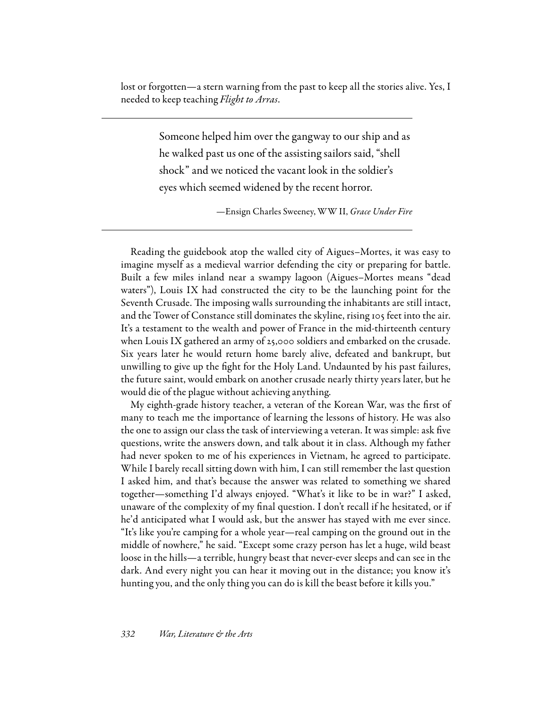lost or forgotten—a stern warning from the past to keep all the stories alive. Yes, I needed to keep teaching *Flight to Arras*.

> Someone helped him over the gangway to our ship and as he walked past us one of the assisting sailors said, "shell shock" and we noticed the vacant look in the soldier's eyes which seemed widened by the recent horror.

> > —Ensign Charles Sweeney, WW II, *Grace Under Fire*

Reading the guidebook atop the walled city of Aigues–Mortes, it was easy to imagine myself as a medieval warrior defending the city or preparing for battle. Built a few miles inland near a swampy lagoon (Aigues–Mortes means "dead waters"), Louis IX had constructed the city to be the launching point for the Seventh Crusade. The imposing walls surrounding the inhabitants are still intact, and the Tower of Constance still dominates the skyline, rising 105 feet into the air. It's a testament to the wealth and power of France in the mid-thirteenth century when Louis IX gathered an army of 25,000 soldiers and embarked on the crusade. Six years later he would return home barely alive, defeated and bankrupt, but unwilling to give up the fght for the Holy Land. Undaunted by his past failures, the future saint, would embark on another crusade nearly thirty years later, but he would die of the plague without achieving anything.

My eighth-grade history teacher, a veteran of the Korean War, was the frst of many to teach me the importance of learning the lessons of history. He was also the one to assign our class the task of interviewing a veteran. It was simple: ask fve questions, write the answers down, and talk about it in class. Although my father had never spoken to me of his experiences in Vietnam, he agreed to participate. While I barely recall sitting down with him, I can still remember the last question I asked him, and that's because the answer was related to something we shared together—something I'd always enjoyed. "What's it like to be in war?" I asked, unaware of the complexity of my fnal question. I don't recall if he hesitated, or if he'd anticipated what I would ask, but the answer has stayed with me ever since. "It's like you're camping for a whole year—real camping on the ground out in the middle of nowhere," he said. "Except some crazy person has let a huge, wild beast loose in the hills—a terrible, hungry beast that never-ever sleeps and can see in the dark. And every night you can hear it moving out in the distance; you know it's hunting you, and the only thing you can do is kill the beast before it kills you."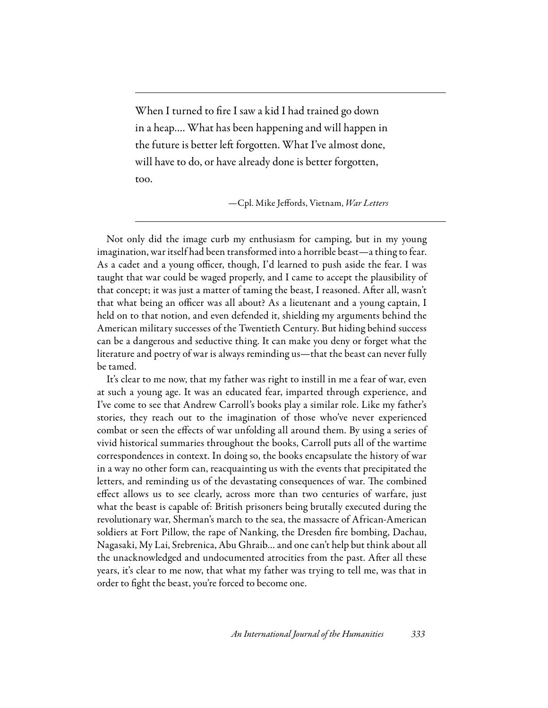When I turned to fre I saw a kid I had trained go down in a heap…. What has been happening and will happen in the future is better left forgotten. What I've almost done, will have to do, or have already done is better forgotten, too.

—Cpl. Mike Jefords, Vietnam, *War Letters*

Not only did the image curb my enthusiasm for camping, but in my young imagination, war itself had been transformed into a horrible beast—a thing to fear. As a cadet and a young officer, though, I'd learned to push aside the fear. I was taught that war could be waged properly, and I came to accept the plausibility of that concept; it was just a matter of taming the beast, I reasoned. Afer all, wasn't that what being an officer was all about? As a lieutenant and a young captain, I held on to that notion, and even defended it, shielding my arguments behind the American military successes of the Twentieth Century. But hiding behind success can be a dangerous and seductive thing. It can make you deny or forget what the literature and poetry of war is always reminding us—that the beast can never fully be tamed.

It's clear to me now, that my father was right to instill in me a fear of war, even at such a young age. It was an educated fear, imparted through experience, and I've come to see that Andrew Carroll's books play a similar role. Like my father's stories, they reach out to the imagination of those who've never experienced combat or seen the efects of war unfolding all around them. By using a series of vivid historical summaries throughout the books, Carroll puts all of the wartime correspondences in context. In doing so, the books encapsulate the history of war in a way no other form can, reacquainting us with the events that precipitated the letters, and reminding us of the devastating consequences of war. The combined efect allows us to see clearly, across more than two centuries of warfare, just what the beast is capable of: British prisoners being brutally executed during the revolutionary war, Sherman's march to the sea, the massacre of African-American soldiers at Fort Pillow, the rape of Nanking, the Dresden fre bombing, Dachau, Nagasaki, My Lai, Srebrenica, Abu Ghraib… and one can't help but think about all the unacknowledged and undocumented atrocities from the past. Afer all these years, it's clear to me now, that what my father was trying to tell me, was that in order to fght the beast, you're forced to become one.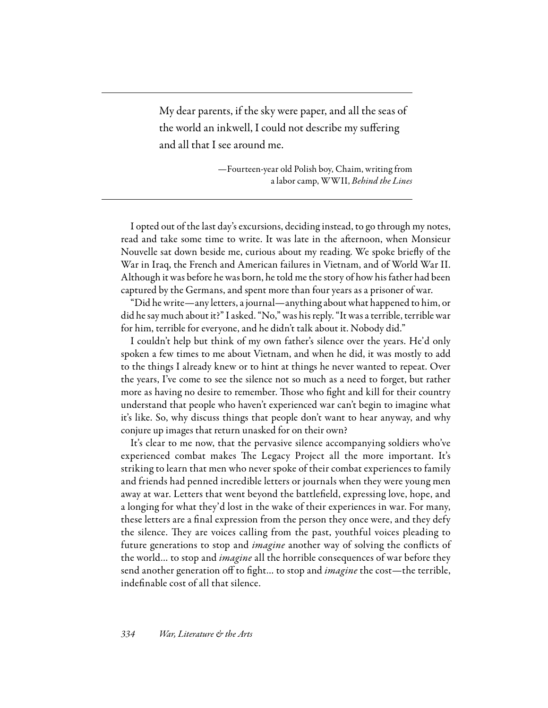My dear parents, if the sky were paper, and all the seas of the world an inkwell, I could not describe my sufering and all that I see around me.

> —Fourteen-year old Polish boy, Chaim, writing from a labor camp, WWII, *Behind the Lines*

I opted out of the last day's excursions, deciding instead, to go through my notes, read and take some time to write. It was late in the afernoon, when Monsieur Nouvelle sat down beside me, curious about my reading. We spoke briefy of the War in Iraq, the French and American failures in Vietnam, and of World War II. Although it was before he was born, he told me the story of how his father had been captured by the Germans, and spent more than four years as a prisoner of war.

"Did he write—any letters, a journal—anything about what happened to him, or did he say much about it?" I asked. "No," was his reply. "It was a terrible, terrible war for him, terrible for everyone, and he didn't talk about it. Nobody did."

I couldn't help but think of my own father's silence over the years. He'd only spoken a few times to me about Vietnam, and when he did, it was mostly to add to the things I already knew or to hint at things he never wanted to repeat. Over the years, I've come to see the silence not so much as a need to forget, but rather more as having no desire to remember. Those who fight and kill for their country understand that people who haven't experienced war can't begin to imagine what it's like. So, why discuss things that people don't want to hear anyway, and why conjure up images that return unasked for on their own?

It's clear to me now, that the pervasive silence accompanying soldiers who've experienced combat makes The Legacy Project all the more important. It's striking to learn that men who never spoke of their combat experiences to family and friends had penned incredible letters or journals when they were young men away at war. Letters that went beyond the battlefeld, expressing love, hope, and a longing for what they'd lost in the wake of their experiences in war. For many, these letters are a fnal expression from the person they once were, and they defy the silence. They are voices calling from the past, youthful voices pleading to future generations to stop and *imagine* another way of solving the conficts of the world… to stop and *imagine* all the horrible consequences of war before they send another generation off to fight... to stop and *imagine* the cost—the terrible, indefnable cost of all that silence.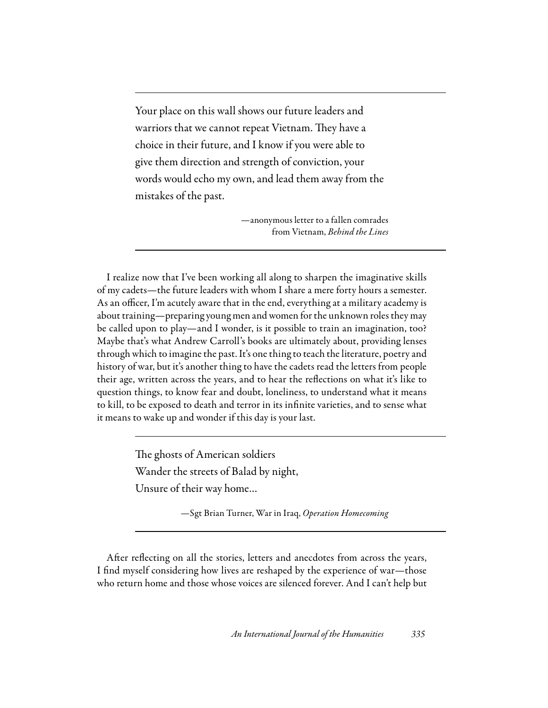Your place on this wall shows our future leaders and warriors that we cannot repeat Vietnam. They have a choice in their future, and I know if you were able to give them direction and strength of conviction, your words would echo my own, and lead them away from the mistakes of the past.

> —anonymous letter to a fallen comrades from Vietnam, *Behind the Lines*

I realize now that I've been working all along to sharpen the imaginative skills of my cadets—the future leaders with whom I share a mere forty hours a semester. As an officer, I'm acutely aware that in the end, everything at a military academy is about training—preparing young men and women for the unknown roles they may be called upon to play—and I wonder, is it possible to train an imagination, too? Maybe that's what Andrew Carroll's books are ultimately about, providing lenses through which to imagine the past. It's one thing to teach the literature, poetry and history of war, but it's another thing to have the cadets read the letters from people their age, written across the years, and to hear the refections on what it's like to question things, to know fear and doubt, loneliness, to understand what it means to kill, to be exposed to death and terror in its infnite varieties, and to sense what it means to wake up and wonder if this day is your last.

> The ghosts of American soldiers Wander the streets of Balad by night, Unsure of their way home…

> > —Sgt Brian Turner, War in Iraq, *Operation Homecoming*

Afer refecting on all the stories, letters and anecdotes from across the years, I fnd myself considering how lives are reshaped by the experience of war—those who return home and those whose voices are silenced forever. And I can't help but